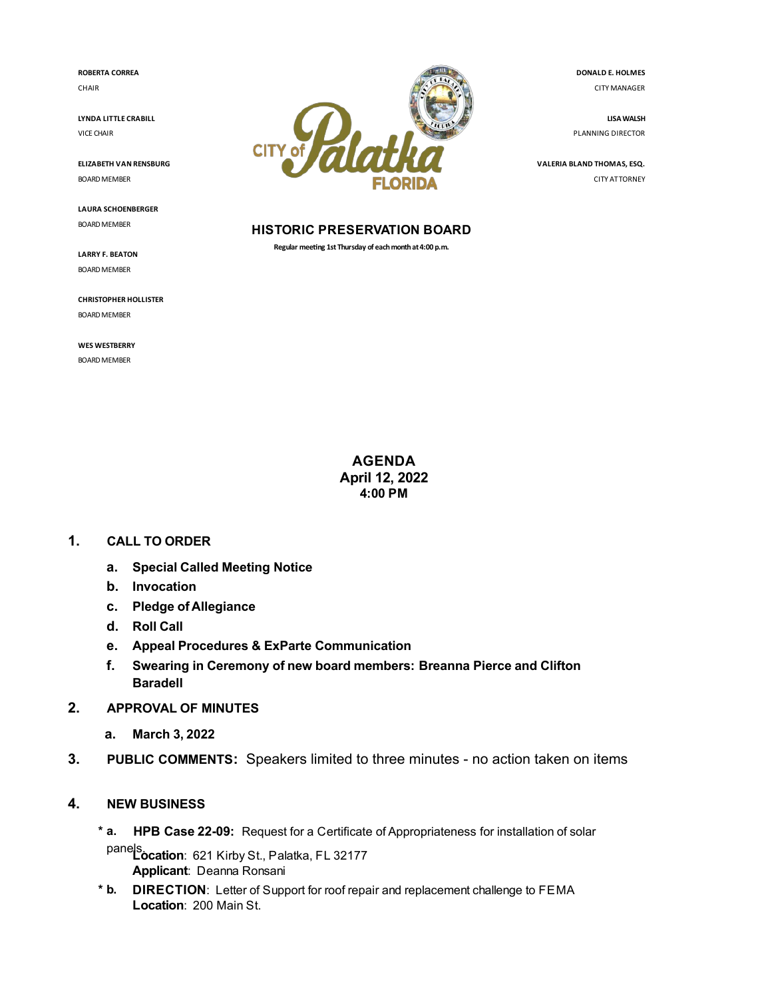**ROBERTA CORREA** CHAIR

**LYNDA LITTLE CRABILL** VICE CHAIR

**ELIZABETH VAN RENSBURG** BOARD MEMBER

**LAURA SCHOENBERGER** BOARD MEMBER

**LARRY F. BEATON** BOARD MEMBER

**CHRISTOPHER HOLLISTER** BOARD MEMBER

**WES WESTBERRY** BOARD MEMBER



#### **HISTORIC PRESERVATION BOARD**

**Regular meeng 1st Thursday of each month at 4:00 p.m.**

**DONALD E. HOLMES** CITY MANAGER

**LISA WALSH** PLANNING DIRECTOR

**VALERIA BLAND THOMAS, ESQ.** CITY ATTORNEY

**AGENDA April 12, 2022 4:00 PM**

# **1. CALL TO ORDER**

- **a. Special Called Meeting Notice**
- **b. Invocation**
- **c. Pledge of Allegiance**
- **d. Roll Call**
- **e. Appeal Procedures & ExParte Communication**
- **f. Swearing in Ceremony of new board members: Breanna Pierce and Clifton Baradell**
- **2. APPROVAL OF MINUTES**
	- **a. [March 3, 2022](file:///C:/Windows/TEMP/CoverSheet.aspx?ItemID=4790&MeetingID=494)**
- **3. PUBLIC COMMENTS:** Speakers limited to three minutes no action taken on items

# **4. NEW BUSINESS**

**\* a. HPB Case 22-09:** Request for a Certificate of Appropriateness for installation of solar

panels.<br> **Location:** 621 Kirby St., Palatka, FL 32177 **Applicant**: Deanna Ronsani

**\* b. DIRECTION**: Letter of Support for roof repair and replacement challenge to FEMA **Location**: 200 Main St.